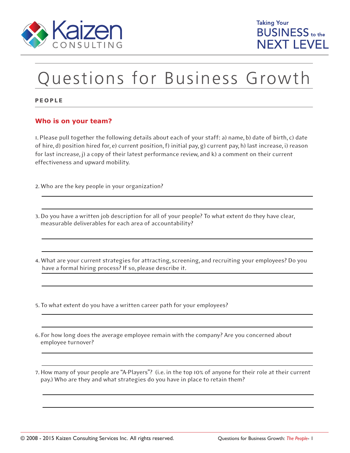

## Questions for Business Growth

PEOPLE

## **Who is on your team?**

1. Please pull together the following details about each of your staff: a) name, b) date of birth, c) date of hire, d) position hired for, e) current position, f) initial pay, g) current pay, h) last increase, i) reason for last increase, j) a copy of their latest performance review, and k) a comment on their current effectiveness and upward mobility.

2. Who are the key people in your organization?

- 3. Do you have a written job description for all of your people? To what extent do they have clear, measurable deliverables for each area of accountability?
- 4. What are your current strategies for attracting, screening, and recruiting your employees? Do you have a formal hiring process? If so, please describe it.

5. To what extent do you have a written career path for your employees?

- 6. For how long does the average employee remain with the company? Are you concerned about employee turnover?
- 7. How many of your people are "A-Players"? (i.e. in the top 10% of anyone for their role at their current pay.) Who are they and what strategies do you have in place to retain them?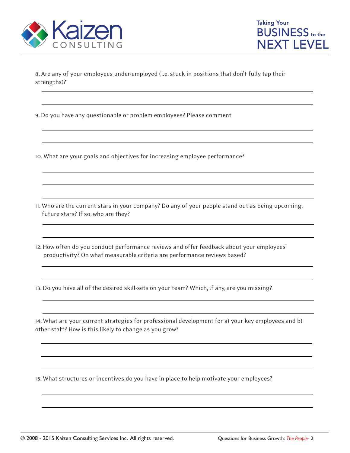



8. Are any of your employees under-employed (i.e. stuck in positions that don't fully tap their strengths)?

9. Do you have any questionable or problem employees? Please comment

10. What are your goals and objectives for increasing employee performance?

11. Who are the current stars in your company? Do any of your people stand out as being upcoming, future stars? If so, who are they?

12. How often do you conduct performance reviews and offer feedback about your employees' productivity? On what measurable criteria are performance reviews based?

13. Do you have all of the desired skill-sets on your team? Which, if any, are you missing?

14. What are your current strategies for professional development for a) your key employees and b) other staff? How is this likely to change as you grow?

15. What structures or incentives do you have in place to help motivate your employees?